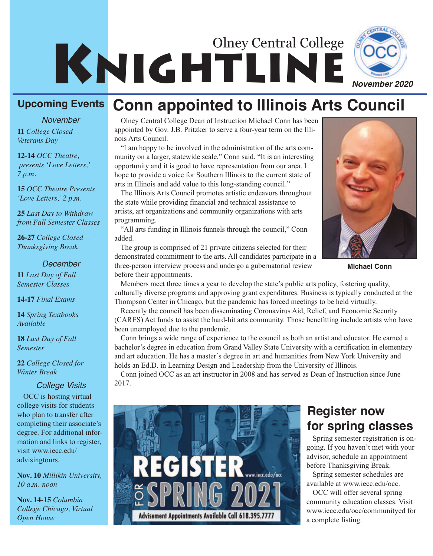

#### **Upcoming Events Conn appointed to Illinois Arts Council**

#### *November*

**11** *College Closed — Veterans Day*

**12-14** *OCC Theatre, presents 'Love Letters,' 7 p.m.*

**15** *OCC Theatre Presents 'Love Letters,' 2 p.m.*

**25** *Last Day to Withdraw from Fall Semester Classes*

**26-27** *College Closed — Thanksgiving Break*

#### *December*

**11** *Last Day of Fall Semester Classes*

**14-17** *Final Exams*

**14** *Spring Textbooks Available*

**18** *Last Day of Fall Semester*

**22** *College Closed for Winter Break*

#### *College Visits*

OCC is hosting virtual college visits for students who plan to transfer after completing their associate's degree. For additional information and links to register, visit www.iecc.edu/ advisingtours.

**Nov. 10** *Millikin University, 10 a.m.-noon*

**Nov. 14-15** *Columbia College Chicago, Virtual Open House*

Olney Central College Dean of Instruction Michael Conn has been appointed by Gov. J.B. Pritzker to serve a four-year term on the Illinois Arts Council.

"I am happy to be involved in the administration of the arts community on a larger, statewide scale," Conn said. "It is an interesting opportunity and it is good to have representation from our area. I hope to provide a voice for Southern Illinois to the current state of arts in Illinois and add value to this long-standing council."

The Illinois Arts Council promotes artistic endeavors throughout the state while providing financial and technical assistance to artists, art organizations and community organizations with arts programming.

"All arts funding in Illinois funnels through the council," Conn added.

The group is comprised of 21 private citizens selected for their demonstrated commitment to the arts. All candidates participate in a three-person interview process and undergo a gubernatorial review before their appointments.



**Michael Conn**

Members meet three times a year to develop the state's public arts policy, fostering quality, culturally diverse programs and approving grant expenditures. Business is typically conducted at the Thompson Center in Chicago, but the pandemic has forced meetings to be held virtually.

Recently the council has been disseminating Coronavirus Aid, Relief, and Economic Security (CARES) Act funds to assist the hard-hit arts community. Those benefitting include artists who have been unemployed due to the pandemic.

Conn brings a wide range of experience to the council as both an artist and educator. He earned a bachelor's degree in education from Grand Valley State University with a certification in elementary and art education. He has a master's degree in art and humanities from New York University and holds an Ed.D. in Learning Design and Leadership from the University of Illinois.

Conn joined OCC as an art instructor in 2008 and has served as Dean of Instruction since June 2017.



### **Register now for spring classes**

Spring semester registration is ongoing. If you haven't met with your advisor, schedule an appointment before Thanksgiving Break.

Spring semester schedules are available at www.iecc.edu/occ.

OCC will offer several spring community education classes. Visit www.iecc.edu/occ/communityed for a complete listing.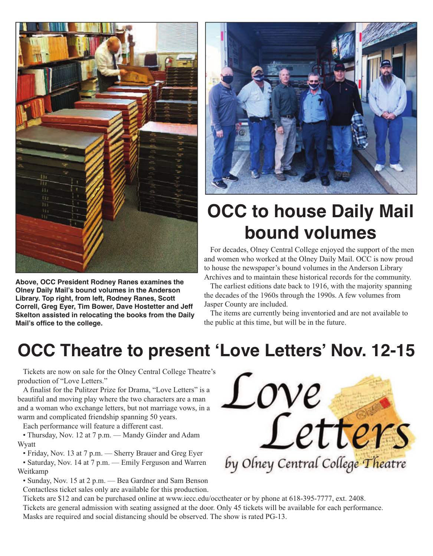

**Above, OCC President Rodney Ranes examines the Olney Daily Mail's bound volumes in the Anderson Library. Top right, from left, Rodney Ranes, Scott Correll, Greg Eyer, Tim Bower, Dave Hostetter and Jeff Skelton assisted in relocating the books from the Daily Mail's office to the college.**



# **OCC** to house Daily Mail **bound volumes**

For decades, Olney Central College enjoyed the support of the men and women who worked at the Olney Daily Mail. OCC is now proud to house the newspaper's bound volumes in the Anderson Library Archives and to maintain these historical records for the community.

The earliest editions date back to 1916, with the majority spanning the decades of the 1960s through the 1990s. A few volumes from Jasper County are included.

The items are currently being inventoried and are not available to the public at this time, but will be in the future.

## **OCC Theatre to present 'Love Letters' Nov. 12-15**

Tickets are now on sale for the Olney Central College Theatre's production of "Love Letters."

A finalist for the Pulitzer Prize for Drama, "Love Letters" is a beautiful and moving play where the two characters are a man and a woman who exchange letters, but not marriage vows, in a warm and complicated friendship spanning 50 years.

Each performance will feature a different cast.

• Thursday, Nov. 12 at 7 p.m. — Mandy Ginder and Adam Wyatt

• Friday, Nov. 13 at 7 p.m. — Sherry Brauer and Greg Eyer

• Saturday, Nov. 14 at 7 p.m. — Emily Ferguson and Warren Weitkamp

• Sunday, Nov. 15 at 2 p.m. — Bea Gardner and Sam Benson Contactless ticket sales only are available for this production.



Tickets are \$12 and can be purchased online at www.iecc.edu/occtheater or by phone at 618-395-7777, ext. 2408. Tickets are general admission with seating assigned at the door. Only 45 tickets will be available for each performance. Masks are required and social distancing should be observed. The show is rated PG-13.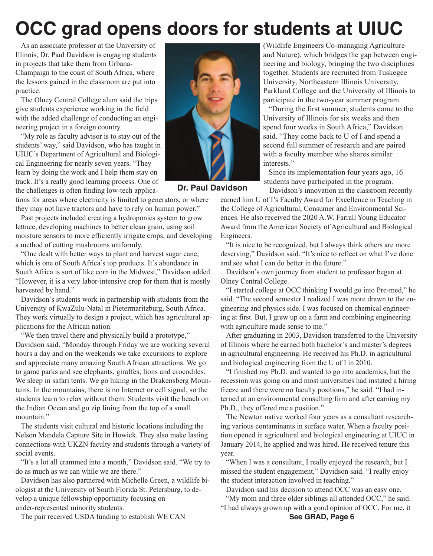# **OCC grad opens doors for students at UIUC**

As an associate professor at the University of Illinois, Dr. Paul Davidson is engaging students in projects that take them from Urbana-Champaign to the coast of South Africa, where the lessons gained in the classroom are put into practice.

The Olney Central College alum said the trips give students experience working in the field with the added challenge of conducting an engineering project in a foreign country.

"My role as faculty advisor is to stay out of the students' way," said Davidson, who has taught in UIUC's Department of Agricultural and Biological Engineering for nearly seven years. "They learn by doing the work and I help them stay on track. It's a really good learning process. One of the challenges is often finding low-tech applica-

tions for areas where electricity is limited to generators, or where they may not have tractors and have to rely on human power."

Past projects included creating a hydroponics system to grow lettuce, developing machines to better clean grain, using soil moisture sensors to more efficiently irrigate crops, and developing a method of cutting mushrooms uniformly.

"One dealt with better ways to plant and harvest sugar cane, which is one of South Africa's top products. It's abundance in South Africa is sort of like corn in the Midwest," Davidson added. "However, it is a very labor-intensive crop for them that is mostly harvested by hand."

Davidson's students work in partnership with students from the University of KwaZulu-Natal in Pietermaritzburg, South Africa. They work virtually to design a project, which has agricultural applications for the African nation.

"We then travel there and physically build a prototype," Davidson said. "Monday through Friday we are working several hours a day and on the weekends we take excursions to explore and appreciate many amazing South African attractions. We go to game parks and see elephants, giraffes, lions and crocodiles. We sleep in safari tents. We go hiking in the Drakensberg Mountains. In the mountains, there is no Internet or cell signal, so the students learn to relax without them. Students visit the beach on the Indian Ocean and go zip lining from the top of a small mountain."

The students visit cultural and historic locations including the Nelson Mandela Capture Site in Howick. They also make lasting connections with UKZN faculty and students through a variety of social events.

"It's a lot all crammed into a month," Davidson said. "We try to do as much as we can while we are there."

Davidson has also partnered with Michelle Green, a wildlife biologist at the University of South Florida St. Petersburg, to develop a unique fellowship opportunity focusing on under-represented minority students.

The pair received USDA funding to establish WE CAN



**Dr. Paul Davidson**

(Wildlife Engineers Co-managing Agriculture and Nature), which bridges the gap between engineering and biology, bringing the two disciplines together. Students are recruited from Tuskegee University, Northeastern Illinois University, Parkland College and the University of Illinois to participate in the two-year summer program.

"During the first summer, students come to the University of Illinois for six weeks and then spend four weeks in South Africa," Davidson said. "They come back to U of I and spend a second full summer of research and are paired with a faculty member who shares similar interests."

Since its implementation four years ago, 16 students have participated in the program.

Davidson's innovation in the classroom recently earned him U of I's Faculty Award for Excellence in Teaching in the College of Agricultural, Consumer and Environmental Sciences. He also received the 2020 A.W. Farrall Young Educator Award from the American Society of Agricultural and Biological Engineers.

"It is nice to be recognized, but I always think others are more deserving," Davidson said. "It's nice to reflect on what I've done and see what I can do better in the future."

Davidson's own journey from student to professor began at Olney Central College.

"I started college at OCC thinking I would go into Pre-med," he said. "The second semester I realized I was more drawn to the engineering and physics side. I was focused on chemical engineering at first. But, I grew up on a farm and combining engineering with agriculture made sense to me."

After graduating in 2003, Davidson transferred to the University of Illinois where he earned both bachelor's and master's degrees in agricultural engineering. He received his Ph.D. in agricultural and biological engineering from the U of I in 2010.

"I finished my Ph.D. and wanted to go into academics, but the recession was going on and most universities had instated a hiring freeze and there were no faculty positions," he said. "I had interned at an environmental consulting firm and after earning my Ph.D., they offered me a position."

The Newton native worked four years as a consultant researching various contaminants in surface water. When a faculty position opened in agricultural and biological engineering at UIUC in January 2014, he applied and was hired. He received tenure this year.

"When I was a consultant, I really enjoyed the research, but I missed the student engagement," Davidson said. "I really enjoy the student interaction involved in teaching."

Davidson said his decision to attend OCC was an easy one.

"My mom and three older siblings all attended OCC," he said. "I had always grown up with a good opinion of OCC. For me, it

**See GRAD, Page 6**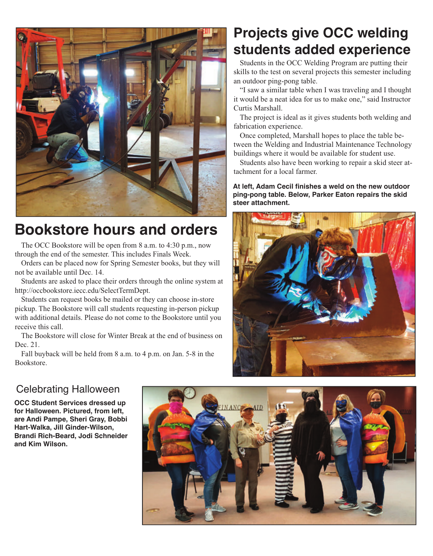

## **Bookstore hours and orders**

The OCC Bookstore will be open from 8 a.m. to 4:30 p.m., now through the end of the semester. This includes Finals Week.

Orders can be placed now for Spring Semester books, but they will not be available until Dec. 14.

Students are asked to place their orders through the online system at http://occbookstore.iecc.edu/SelectTermDept.

Students can request books be mailed or they can choose in-store pickup. The Bookstore will call students requesting in-person pickup with additional details. Please do not come to the Bookstore until you receive this call.

The Bookstore will close for Winter Break at the end of business on Dec. 21.

Fall buyback will be held from 8 a.m. to 4 p.m. on Jan. 5-8 in the Bookstore.

## **Projects give OCC welding students added experience**

Students in the OCC Welding Program are putting their skills to the test on several projects this semester including an outdoor ping-pong table.

"I saw a similar table when I was traveling and I thought it would be a neat idea for us to make one," said Instructor Curtis Marshall.

The project is ideal as it gives students both welding and fabrication experience.

Once completed, Marshall hopes to place the table between the Welding and Industrial Maintenance Technology buildings where it would be available for student use.

Students also have been working to repair a skid steer attachment for a local farmer.

**At left, Adam Cecil finishes a weld on the new outdoor ping-pong table. Below, Parker Eaton repairs the skid steer attachment.**



### Celebrating Halloween

**OCC Student Services dressed up for Halloween. Pictured, from left, are Andi Pampe, Sheri Gray, Bobbi Hart-Walka, Jill Ginder-Wilson, Brandi Rich-Beard, Jodi Schneider and Kim Wilson.**

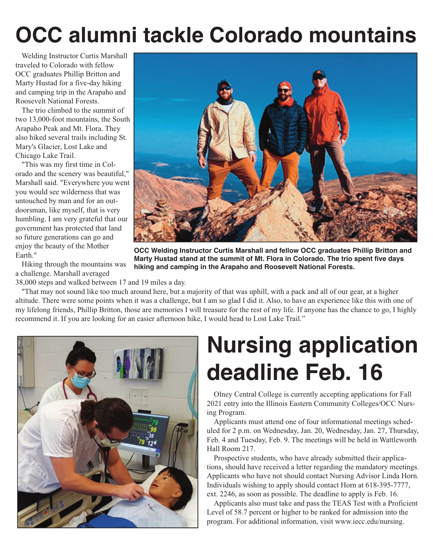# **OCC alumni tackle Colorado mountains**

Welding Instructor Curtis Marshall traveled to Colorado with fellow OCC graduates Phillip Britton and Marty Hustad for a five-day hiking and camping trip in the Arapaho and Roosevelt National Forests.

The trio climbed to the summit of two 13,000-foot mountains, the South Arapaho Peak and Mt. Flora. They also hiked several trails including St. Mary's Glacier, Lost Lake and Chicago Lake Trail.

"This was my first time in Colorado and the scenery was beautiful," Marshall said. "Everywhere you went you would see wilderness that was untouched by man and for an outdoorsman, like myself, that is very humbling. I am very grateful that our government has protected that land so future generations can go and enjoy the beauty of the Mother Earth."

Hiking through the mountains was a challenge. Marshall averaged



**OCC Welding Instructor Curtis Marshall and fellow OCC graduates Phillip Britton and Marty Hustad stand at the summit of Mt. Flora in Colorado. The trio spent five days hiking and camping in the Arapaho and Roosevelt National Forests.**

38,000 steps and walked between 17 and 19 miles a day.

"That may not sound like too much around here, but a majority of that was uphill, with a pack and all of our gear, at a higher altitude. There were some points when it was a challenge, but I am so glad I did it. Also, to have an experience like this with one of my lifelong friends, Phillip Britton, those are memories I will treasure for the rest of my life. If anyone has the chance to go, I highly recommend it. If you are looking for an easier afternoon hike, I would head to Lost Lake Trail."



# **Nursing application deadline Feb. 16**

Olney Central College is currently accepting applications for Fall 2021 entry into the Illinois Eastern Community Colleges/OCC Nursing Program.

Applicants must attend one of four informational meetings scheduled for 2 p.m. on Wednesday, Jan. 20, Wednesday, Jan. 27, Thursday, Feb. 4 and Tuesday, Feb. 9. The meetings will be held in Wattleworth Hall Room 217.

Prospective students, who have already submitted their applications, should have received a letter regarding the mandatory meetings. Applicants who have not should contact Nursing Advisor Linda Horn. Individuals wishing to apply should contact Horn at 618-395-7777, ext. 2246, as soon as possible. The deadline to apply is Feb. 16.

Applicants also must take and pass the TEAS Test with a Proficient Level of 58.7 percent or higher to be ranked for admission into the program. For additional information, visit www.iecc.edu/nursing.